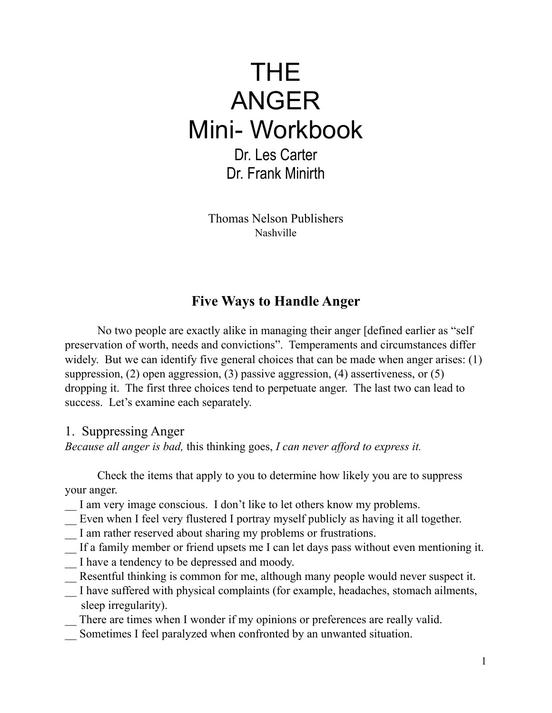# THE ANGER Mini- Workbook Dr. Les Carter Dr. Frank Minirth

Thomas Nelson Publishers Nashville

## **Five Ways to Handle Anger**

No two people are exactly alike in managing their anger [defined earlier as "self preservation of worth, needs and convictions". Temperaments and circumstances differ widely. But we can identify five general choices that can be made when anger arises: (1) suppression, (2) open aggression, (3) passive aggression, (4) assertiveness, or (5) dropping it. The first three choices tend to perpetuate anger. The last two can lead to success. Let's examine each separately.

#### 1. Suppressing Anger

*Because all anger is bad,* this thinking goes, *I can never afford to express it.*

Check the items that apply to you to determine how likely you are to suppress your anger.

- I am very image conscious. I don't like to let others know my problems.
- Even when I feel very flustered I portray myself publicly as having it all together.
- I am rather reserved about sharing my problems or frustrations.
- \_\_ If a family member or friend upsets me I can let days pass without even mentioning it.
- I have a tendency to be depressed and moody.
- Resentful thinking is common for me, although many people would never suspect it.
- \_\_ I have suffered with physical complaints (for example, headaches, stomach ailments, sleep irregularity).
	- There are times when I wonder if my opinions or preferences are really valid.
- \_\_ Sometimes I feel paralyzed when confronted by an unwanted situation.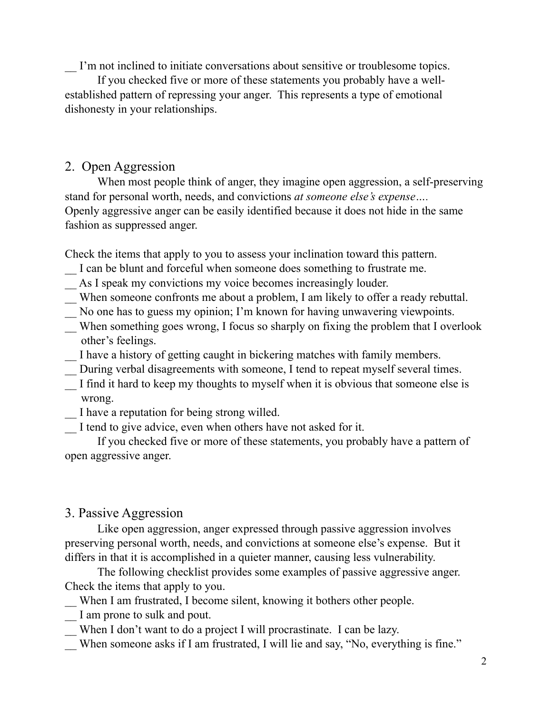\_\_ I'm not inclined to initiate conversations about sensitive or troublesome topics.

If you checked five or more of these statements you probably have a wellestablished pattern of repressing your anger. This represents a type of emotional dishonesty in your relationships.

#### 2. Open Aggression

When most people think of anger, they imagine open aggression, a self-preserving stand for personal worth, needs, and convictions *at someone else's expense….* Openly aggressive anger can be easily identified because it does not hide in the same fashion as suppressed anger.

Check the items that apply to you to assess your inclination toward this pattern.

- I can be blunt and forceful when someone does something to frustrate me.
- \_\_ As I speak my convictions my voice becomes increasingly louder.
- \_\_ When someone confronts me about a problem, I am likely to offer a ready rebuttal.
- \_\_ No one has to guess my opinion; I'm known for having unwavering viewpoints.
- \_\_ When something goes wrong, I focus so sharply on fixing the problem that I overlook other's feelings.
- \_\_ I have a history of getting caught in bickering matches with family members.
- \_\_ During verbal disagreements with someone, I tend to repeat myself several times.
- I find it hard to keep my thoughts to myself when it is obvious that someone else is wrong.
- \_\_ I have a reputation for being strong willed.
- I tend to give advice, even when others have not asked for it.

If you checked five or more of these statements, you probably have a pattern of open aggressive anger.

### 3. Passive Aggression

Like open aggression, anger expressed through passive aggression involves preserving personal worth, needs, and convictions at someone else's expense. But it differs in that it is accomplished in a quieter manner, causing less vulnerability.

The following checklist provides some examples of passive aggressive anger. Check the items that apply to you.

- When I am frustrated, I become silent, knowing it bothers other people.
- I am prone to sulk and pout.
- When I don't want to do a project I will procrastinate. I can be lazy.
- When someone asks if I am frustrated, I will lie and say, "No, everything is fine."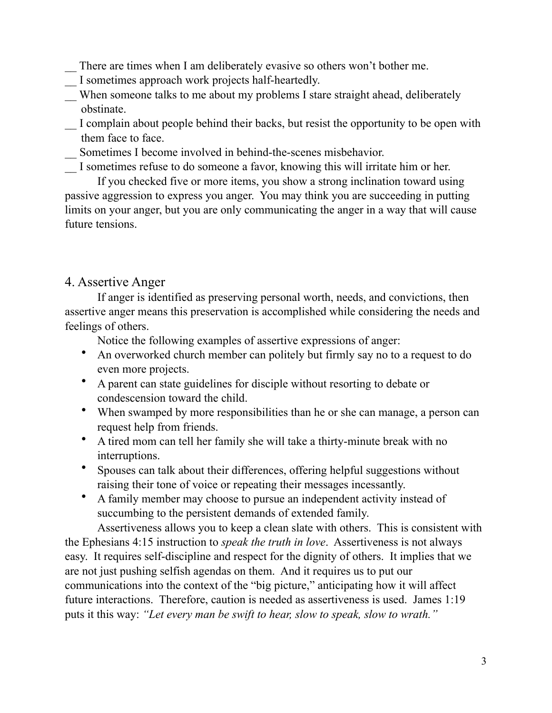- There are times when I am deliberately evasive so others won't bother me.
- \_\_ I sometimes approach work projects half-heartedly.
- \_\_ When someone talks to me about my problems I stare straight ahead, deliberately obstinate.
- \_\_ I complain about people behind their backs, but resist the opportunity to be open with them face to face.
- \_\_ Sometimes I become involved in behind-the-scenes misbehavior.
- \_\_ I sometimes refuse to do someone a favor, knowing this will irritate him or her.

If you checked five or more items, you show a strong inclination toward using passive aggression to express you anger. You may think you are succeeding in putting limits on your anger, but you are only communicating the anger in a way that will cause future tensions.

#### 4. Assertive Anger

If anger is identified as preserving personal worth, needs, and convictions, then assertive anger means this preservation is accomplished while considering the needs and feelings of others.

Notice the following examples of assertive expressions of anger:

- An overworked church member can politely but firmly say no to a request to do even more projects.
- A parent can state guidelines for disciple without resorting to debate or condescension toward the child.
- When swamped by more responsibilities than he or she can manage, a person can request help from friends.
- A tired mom can tell her family she will take a thirty-minute break with no interruptions.
- Spouses can talk about their differences, offering helpful suggestions without raising their tone of voice or repeating their messages incessantly.
- A family member may choose to pursue an independent activity instead of succumbing to the persistent demands of extended family.

Assertiveness allows you to keep a clean slate with others. This is consistent with the Ephesians 4:15 instruction to *speak the truth in love*. Assertiveness is not always easy. It requires self-discipline and respect for the dignity of others. It implies that we are not just pushing selfish agendas on them. And it requires us to put our communications into the context of the "big picture," anticipating how it will affect future interactions. Therefore, caution is needed as assertiveness is used. James 1:19 puts it this way: *"Let every man be swift to hear, slow to speak, slow to wrath."*